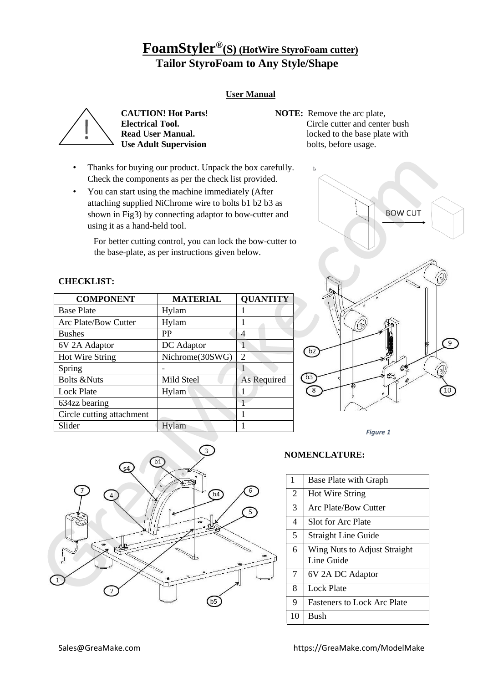# **FoamStyler® (S) (HotWire StyroFoam cutter) Tailor StyroFoam to Any Style/Shape**

## **User Manual**



 **Use Adult Supervision** 

- **CAUTION! Hot Parts!** NOTE: Remove the arc plate, **Electrical Tool.** Circle cutter and center bush  **Read User Manual.** locked to the base plate with
- Thanks for buying our product. Unpack the box carefully. Check the components as per the check list provided.
- You can start using the machine immediately (After attaching supplied NiChrome wire to bolts b1 b2 b3 as shown in Fig3) by connecting adaptor to bow-cutter and using it as a hand-held tool.

For better cutting control, you can lock the bow-cutter to the base-plate, as per instructions given below.

## **CHECKLIST:**

| <b>COMPONENT</b>            | <b>MATERIAL</b> | <b>QUANTITY</b> |
|-----------------------------|-----------------|-----------------|
| <b>Base Plate</b>           | Hylam           |                 |
| <b>Arc Plate/Bow Cutter</b> | Hylam           |                 |
| <b>Bushes</b>               | PP              | 4               |
| 6V 2A Adaptor               | DC Adaptor      |                 |
| Hot Wire String             | Nichrome(30SWG) | $\overline{c}$  |
| Spring                      |                 |                 |
| <b>Bolts &amp;Nuts</b>      | Mild Steel      | As Required     |
| <b>Lock Plate</b>           | Hylam           |                 |
| 634zz bearing               |                 |                 |
| Circle cutting attachment   |                 |                 |
| Slider                      | Hylam           |                 |



*Figure 1*



| $\mathbf{1}$   | <b>Base Plate with Graph</b>               |
|----------------|--------------------------------------------|
| 2              | <b>Hot Wire String</b>                     |
| $\overline{3}$ | Arc Plate/Bow Cutter                       |
| 4              | Slot for Arc Plate                         |
| 5              | <b>Straight Line Guide</b>                 |
| 6              | Wing Nuts to Adjust Straight<br>Line Guide |
| $\overline{7}$ | 6V 2A DC Adaptor                           |
| 8              | Lock Plate                                 |
| 9              | <b>Fasteners to Lock Arc Plate</b>         |
| 10             | <b>Bush</b>                                |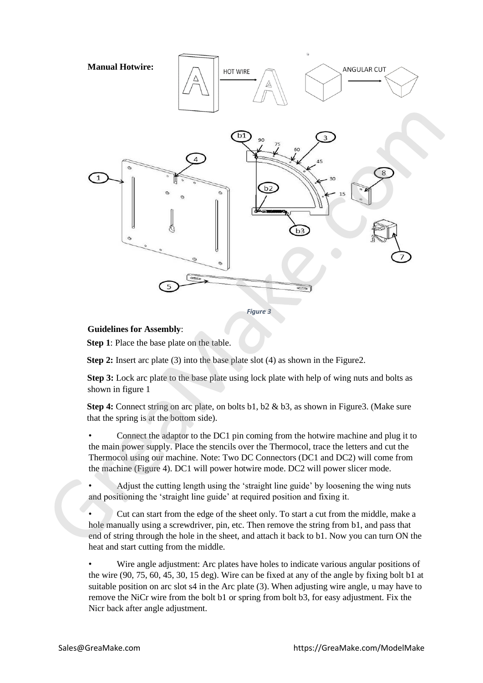

*Figure 3*

### **Guidelines for Assembly**:

 **Step 1**: Place the base plate on the table.

**Step 2:** Insert arc plate (3) into the base plate slot (4) as shown in the Figure 2.

**Step 3:** Lock arc plate to the base plate using lock plate with help of wing nuts and bolts as shown in figure 1

**Step 4:** Connect string on arc plate, on bolts b1, b2 & b3, as shown in Figure 3. (Make sure that the spring is at the bottom side).

• Connect the adaptor to the DC1 pin coming from the hotwire machine and plug it to the main power supply. Place the stencils over the Thermocol, trace the letters and cut the Thermocol using our machine. Note: Two DC Connectors (DC1 and DC2) will come from the machine (Figure 4). DC1 will power hotwire mode. DC2 will power slicer mode.

Adjust the cutting length using the 'straight line guide' by loosening the wing nuts and positioning the 'straight line guide' at required position and fixing it.

• Cut can start from the edge of the sheet only. To start a cut from the middle, make a hole manually using a screwdriver, pin, etc. Then remove the string from b1, and pass that end of string through the hole in the sheet, and attach it back to b1. Now you can turn ON the heat and start cutting from the middle.

Wire angle adjustment: Arc plates have holes to indicate various angular positions of the wire (90, 75, 60, 45, 30, 15 deg). Wire can be fixed at any of the angle by fixing bolt b1 at suitable position on arc slot s4 in the Arc plate (3). When adjusting wire angle, u may have to remove the NiCr wire from the bolt b1 or spring from bolt b3, for easy adjustment. Fix the Nicr back after angle adjustment.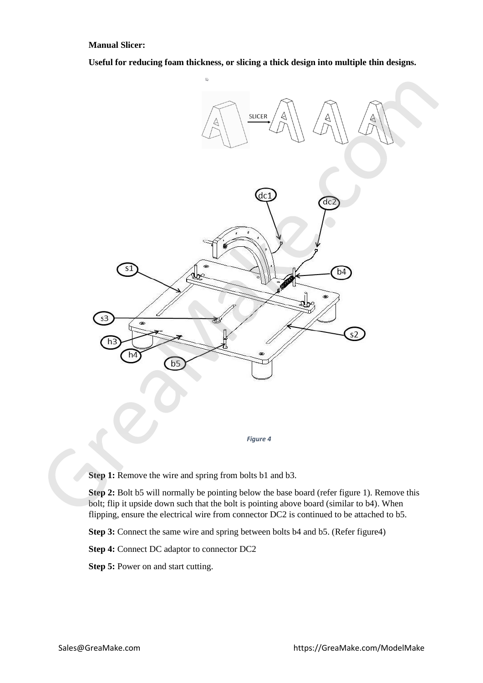**Manual Slicer:**

**Useful for reducing foam thickness, or slicing a thick design into multiple thin designs.**



**Step 1:** Remove the wire and spring from bolts b1 and b3.

**Step 2:** Bolt b5 will normally be pointing below the base board (refer figure 1). Remove this bolt; flip it upside down such that the bolt is pointing above board (similar to b4). When flipping, ensure the electrical wire from connector DC2 is continued to be attached to b5.

**Step 3:** Connect the same wire and spring between bolts b4 and b5. (Refer figure4)

**Step 4:** Connect DC adaptor to connector DC2

**Step 5:** Power on and start cutting.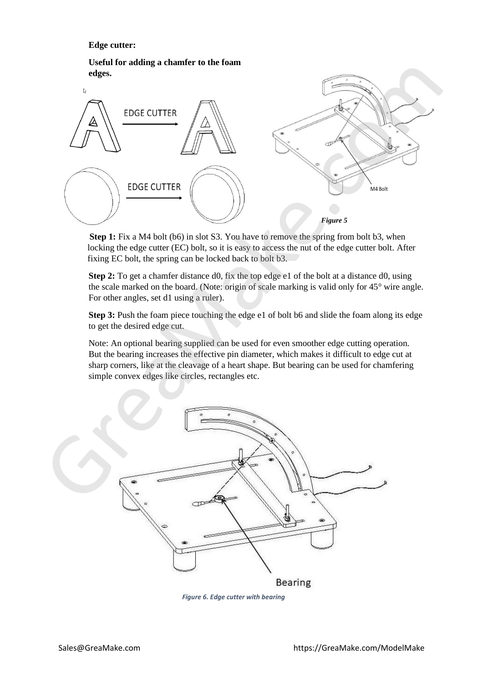### **Edge cutter:**

**Useful for adding a chamfer to the foam edges.** 



**Step 1:** Fix a M4 bolt (b6) in slot S3. You have to remove the spring from bolt b3, when locking the edge cutter (EC) bolt, so it is easy to access the nut of the edge cutter bolt. After fixing EC bolt, the spring can be locked back to bolt b3.

**Step 2:** To get a chamfer distance d0, fix the top edge e1 of the bolt at a distance d0, using the scale marked on the board. (Note: origin of scale marking is valid only for 45° wire angle. For other angles, set d1 using a ruler).

**Step 3:** Push the foam piece touching the edge e1 of bolt b6 and slide the foam along its edge to get the desired edge cut.

Note: An optional bearing supplied can be used for even smoother edge cutting operation. But the bearing increases the effective pin diameter, which makes it difficult to edge cut at sharp corners, like at the cleavage of a heart shape. But bearing can be used for chamfering simple convex edges like circles, rectangles etc.



 *Figure 6. Edge cutter with bearing*